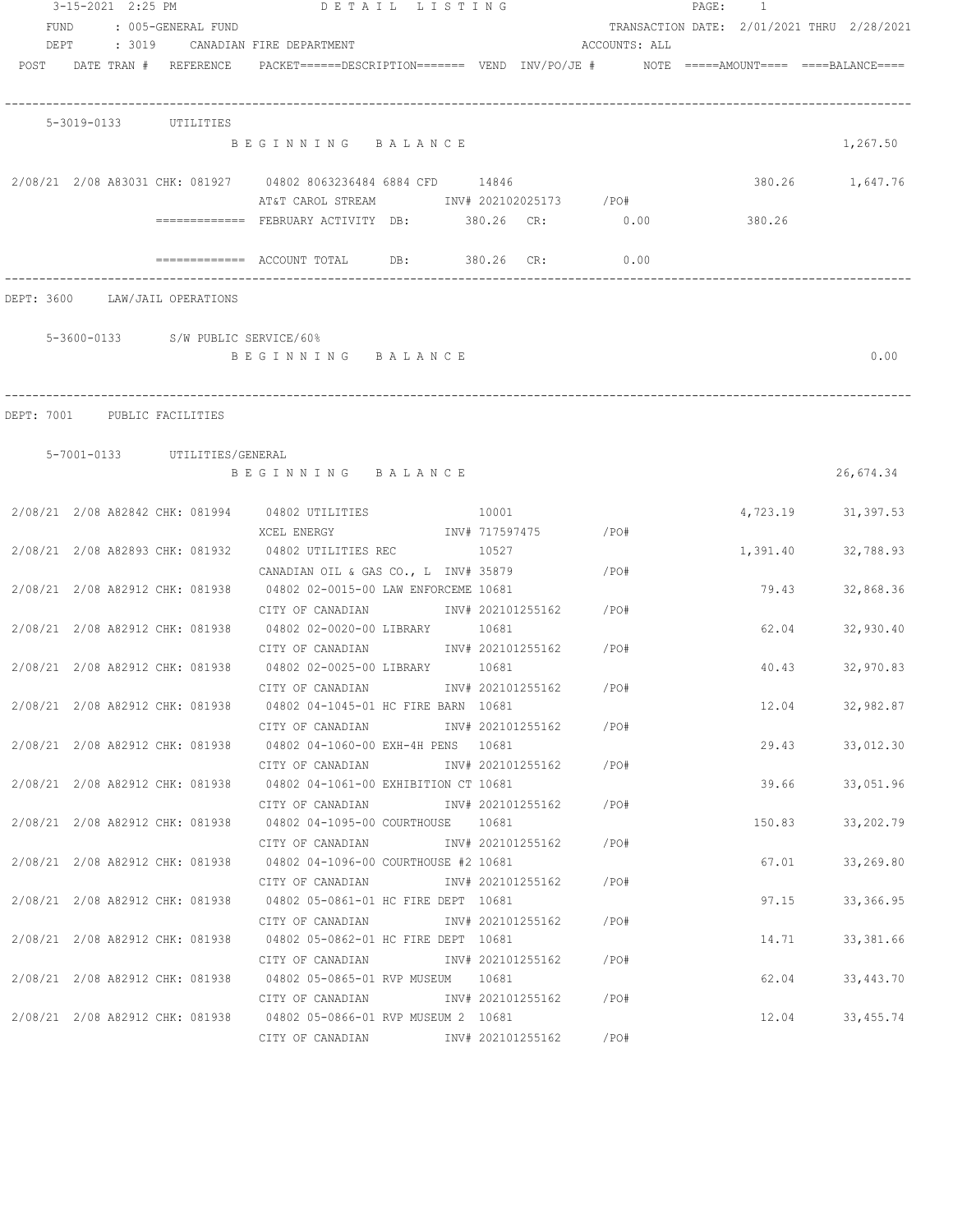|      |  | 3-15-2021 2:25 PM              | DETAIL LISTING                                                                           |                      |       |                        |                        | PAGE: 1  |       |                                            |
|------|--|--------------------------------|------------------------------------------------------------------------------------------|----------------------|-------|------------------------|------------------------|----------|-------|--------------------------------------------|
| FUND |  | : 005-GENERAL FUND             |                                                                                          |                      |       |                        |                        |          |       | TRANSACTION DATE: 2/01/2021 THRU 2/28/2021 |
| DEPT |  |                                | : 3019 CANADIAN FIRE DEPARTMENT                                                          |                      |       |                        | ACCOUNTS: ALL          |          |       |                                            |
|      |  | POST DATE TRAN # REFERENCE     | PACKET======DESCRIPTION======= VEND INV/PO/JE #     NOTE =====AMOUNT==== ====BALANCE==== |                      |       |                        |                        |          |       |                                            |
|      |  |                                |                                                                                          |                      |       |                        |                        |          |       |                                            |
|      |  | 5-3019-0133 UTILITIES          | BEGINNING BALANCE                                                                        |                      |       |                        |                        |          |       | 1,267.50                                   |
|      |  |                                |                                                                                          |                      |       |                        |                        |          |       |                                            |
|      |  |                                | 2/08/21 2/08 A83031 CHK: 081927 04802 8063236484 6884 CFD 14846                          |                      |       |                        |                        |          |       | 380.26 1,647.76                            |
|      |  |                                | AT&T CAROL STREAM TNV# 202102025173 / PO#                                                |                      |       |                        |                        |          |       |                                            |
|      |  |                                | ============ FEBRUARY ACTIVITY DB: 380.26 CR: 0.00                                       |                      |       |                        |                        | 380.26   |       |                                            |
|      |  |                                | ============= ACCOUNT TOTAL DB: 380.26 CR:                                               |                      |       |                        | 0.00                   |          |       |                                            |
|      |  | DEPT: 3600 LAW/JAIL OPERATIONS |                                                                                          |                      |       |                        |                        |          |       |                                            |
|      |  |                                | 5-3600-0133 S/W PUBLIC SERVICE/60%                                                       |                      |       |                        |                        |          |       |                                            |
|      |  |                                | BEGINNING BALANCE                                                                        |                      |       |                        |                        |          |       | 0.00                                       |
|      |  |                                |                                                                                          |                      |       |                        |                        |          |       |                                            |
|      |  | DEPT: 7001 PUBLIC FACILITIES   |                                                                                          |                      |       |                        |                        |          |       |                                            |
|      |  | 5-7001-0133 UTILITIES/GENERAL  |                                                                                          |                      |       |                        |                        |          |       |                                            |
|      |  |                                | BEGINNING BALANCE                                                                        |                      |       |                        |                        |          |       | 26,674.34                                  |
|      |  |                                | 2/08/21 2/08 A82842 CHK: 081994 04802 UTILITIES                                          |                      | 10001 |                        |                        |          |       | 4,723.19 31,397.53                         |
|      |  |                                | XCEL ENERGY                                                                              | INV# 717597475 / PO# |       |                        |                        |          |       |                                            |
|      |  |                                | 2/08/21  2/08  A82893  CHK: 081932  04802  UTILITIES REC                                 | 10527                |       |                        |                        | 1,391.40 |       | 32,788.93                                  |
|      |  |                                | CANADIAN OIL & GAS CO., L INV# 35879                                                     |                      |       |                        | $\angle$ PO#           |          |       |                                            |
|      |  |                                | 2/08/21 2/08 A82912 CHK: 081938 04802 02-0015-00 LAW ENFORCEME 10681                     |                      |       |                        |                        |          |       | 79.43<br>32,868.36                         |
|      |  |                                | CITY OF CANADIAN              INV# 202101255162      /PO#                                |                      |       |                        |                        |          |       |                                            |
|      |  |                                | 2/08/21 2/08 A82912 CHK: 081938 04802 02-0020-00 LIBRARY 10681                           |                      |       |                        |                        |          |       | 62.04<br>32,930.40                         |
|      |  |                                | CITY OF CANADIAN MOTHER INV# 202101255162 / PO#                                          |                      |       |                        |                        |          |       |                                            |
|      |  |                                | 2/08/21 2/08 A82912 CHK: 081938 04802 02-0025-00 LIBRARY 10681                           |                      |       |                        |                        |          |       | 40.43<br>32,970.83                         |
|      |  |                                | CITY OF CANADIAN 1NV# 202101255162 / PO#                                                 |                      |       |                        |                        |          |       |                                            |
|      |  |                                | 2/08/21 2/08 A82912 CHK: 081938 04802 04-1045-01 HC FIRE BARN 10681                      |                      |       |                        |                        |          | 12.04 | 32,982.87                                  |
|      |  |                                | CITY OF CANADIAN                                                                         |                      |       | INV# 202101255162      | / PO#                  |          |       |                                            |
|      |  |                                | 2/08/21 2/08 A82912 CHK: 081938 04802 04-1060-00 EXH-4H PENS 10681                       |                      |       |                        |                        |          |       | 29.43<br>33,012.30                         |
|      |  |                                | CITY OF CANADIAN<br>2/08/21 2/08 A82912 CHK: 081938 04802 04-1061-00 EXHIBITION CT 10681 |                      |       |                        | INV# 202101255162 /PO# |          |       | 39.66 200<br>33,051.96                     |
|      |  |                                | CITY OF CANADIAN                                                                         |                      |       | INV# 202101255162 /PO# |                        |          |       |                                            |
|      |  |                                | 2/08/21 2/08 A82912 CHK: 081938 04802 04-1095-00 COURTHOUSE 10681                        |                      |       |                        |                        |          |       | 150.83<br>33,202.79                        |
|      |  |                                | CITY OF CANADIAN                                                                         |                      |       | INV# 202101255162 /PO# |                        |          |       |                                            |
|      |  |                                | 2/08/21 2/08 A82912 CHK: 081938 04802 04-1096-00 COURTHOUSE #2 10681                     |                      |       |                        |                        |          |       | 67.01<br>33,269.80                         |
|      |  |                                | CITY OF CANADIAN                                                                         |                      |       | INV# 202101255162 /PO# |                        |          |       |                                            |
|      |  |                                | 2/08/21 2/08 A82912 CHK: 081938 04802 05-0861-01 HC FIRE DEPT 10681                      |                      |       |                        |                        |          |       | 97.15<br>33,366.95                         |
|      |  |                                | CITY OF CANADIAN                                                                         |                      |       | INV# 202101255162      | /PO#                   |          |       |                                            |
|      |  |                                | 2/08/21 2/08 A82912 CHK: 081938 04802 05-0862-01 HC FIRE DEPT 10681                      |                      |       |                        |                        |          |       | 14.71<br>33, 381.66                        |
|      |  |                                | CITY OF CANADIAN                                                                         |                      |       | INV# 202101255162      | /PO#                   |          |       |                                            |
|      |  |                                | 2/08/21 2/08 A82912 CHK: 081938 04802 05-0865-01 RVP MUSEUM 10681                        |                      |       |                        |                        |          | 62.04 | 33,443.70                                  |
|      |  |                                | CITY OF CANADIAN 1NV# 202101255162 / PO#                                                 |                      |       |                        |                        |          |       |                                            |
|      |  |                                | 2/08/21 2/08 A82912 CHK: 081938 04802 05-0866-01 RVP MUSEUM 2 10681                      |                      |       |                        |                        |          |       | 12.04<br>33, 455. 74                       |
|      |  |                                | CITY OF CANADIAN 1NV# 202101255162 / PO#                                                 |                      |       |                        |                        |          |       |                                            |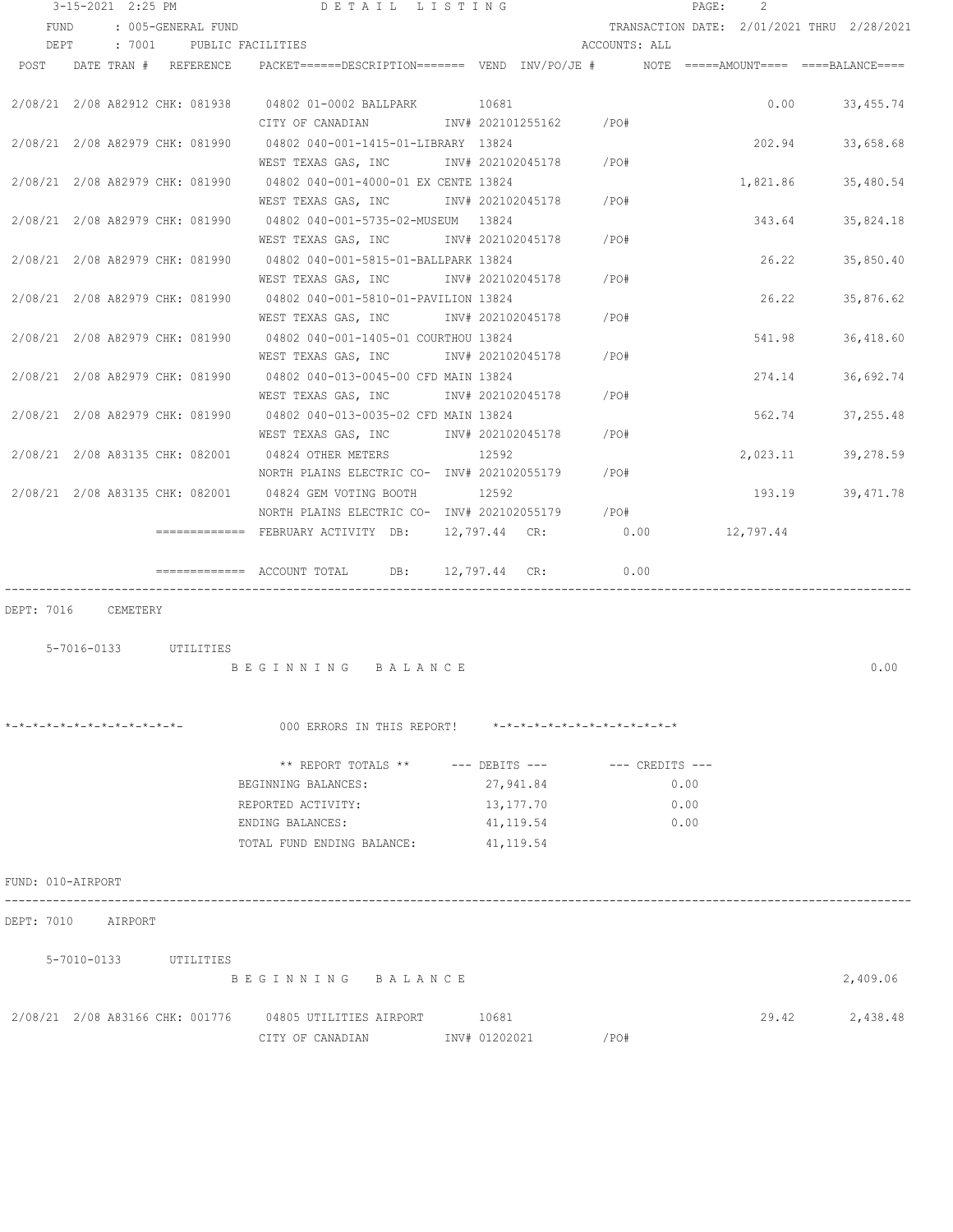|                                 | 3-15-2021 2:25 PM |                       | DETAIL LISTING                                                                          |                               |               | PAGE: | 2        |                                            |
|---------------------------------|-------------------|-----------------------|-----------------------------------------------------------------------------------------|-------------------------------|---------------|-------|----------|--------------------------------------------|
| FUND                            |                   | : 005-GENERAL FUND    |                                                                                         |                               |               |       |          | TRANSACTION DATE: 2/01/2021 THRU 2/28/2021 |
| DEPT                            |                   |                       | : 7001 PUBLIC FACILITIES                                                                |                               | ACCOUNTS: ALL |       |          |                                            |
| POST                            |                   | DATE TRAN # REFERENCE | PACKET======DESCRIPTION======= VEND INV/PO/JE #    NOTE =====AMOUNT==== ====BALANCE==== |                               |               |       |          |                                            |
|                                 |                   |                       |                                                                                         |                               |               |       |          |                                            |
|                                 |                   |                       | 2/08/21 2/08 A82912 CHK: 081938 04802 01-0002 BALLPARK 10681                            |                               |               |       |          | $0.00$ 33,455.74                           |
|                                 |                   |                       | CITY OF CANADIAN 1NV# 202101255162 / PO#                                                |                               |               |       |          |                                            |
|                                 |                   |                       | 2/08/21 2/08 A82979 CHK: 081990 04802 040-001-1415-01-LIBRARY 13824                     |                               |               |       | 202.94   | 33,658.68                                  |
|                                 |                   |                       | WEST TEXAS GAS, INC METALL 202102045178 / PO#                                           |                               |               |       |          |                                            |
| 2/08/21 2/08 A82979 CHK: 081990 |                   |                       | 04802 040-001-4000-01 EX CENTE 13824                                                    |                               |               |       | 1,821.86 | 35,480.54                                  |
|                                 |                   |                       | WEST TEXAS GAS, INC METALL 202102045178                                                 |                               | $/$ PO#       |       |          |                                            |
| 2/08/21 2/08 A82979 CHK: 081990 |                   |                       | 04802 040-001-5735-02-MUSEUM 13824                                                      |                               |               |       |          | 343.64 35,824.18                           |
|                                 |                   |                       | WEST TEXAS GAS, INC                                                                     | INV# 202102045178             | /PO#          |       |          |                                            |
|                                 |                   |                       | 2/08/21 2/08 A82979 CHK: 081990 04802 040-001-5815-01-BALLPARK 13824                    |                               |               |       |          | 26.22 35,850.40                            |
|                                 |                   |                       | WEST TEXAS GAS, INC                                                                     | INV# 202102045178             | /PO#          |       |          |                                            |
|                                 |                   |                       | 2/08/21 2/08 A82979 CHK: 081990 04802 040-001-5810-01-PAVILION 13824                    |                               |               |       | 26.22    | 35,876.62                                  |
|                                 |                   |                       | WEST TEXAS GAS, INC                                                                     | INV# 202102045178             | /PO#          |       |          |                                            |
|                                 |                   |                       | 2/08/21  2/08  A82979  CHK: 081990  04802  040-001-1405-01  COURTHOU  13824             |                               |               |       | 541.98   | 36,418.60                                  |
| 2/08/21 2/08 A82979 CHK: 081990 |                   |                       | WEST TEXAS GAS, INC                                                                     | INV# 202102045178 /PO#        |               |       |          |                                            |
|                                 |                   |                       | 04802 040-013-0045-00 CFD MAIN 13824<br>WEST TEXAS GAS, INC                             | INV# 202102045178             | /PO#          |       | 274.14   | 36,692.74                                  |
| 2/08/21 2/08 A82979 CHK: 081990 |                   |                       | 04802 040-013-0035-02 CFD MAIN 13824                                                    |                               |               |       | 562.74   | 37,255.48                                  |
|                                 |                   |                       | WEST TEXAS GAS, INC METALL 202102045178                                                 |                               | /PO#          |       |          |                                            |
| 2/08/21 2/08 A83135 CHK: 082001 |                   |                       | 04824 OTHER METERS                                                                      | 12592                         |               |       |          | 2,023.11 39,278.59                         |
|                                 |                   |                       | NORTH PLAINS ELECTRIC CO- INV# 202102055179                                             |                               | /PO#          |       |          |                                            |
|                                 |                   |                       | 2/08/21 2/08 A83135 CHK: 082001 04824 GEM VOTING BOOTH                                  | 12592                         |               |       |          | 193.19 39,471.78                           |
|                                 |                   |                       | NORTH PLAINS ELECTRIC CO- INV# 202102055179 / PO#                                       |                               |               |       |          |                                            |
|                                 |                   |                       | ============= FEBRUARY ACTIVITY DB: 12,797.44 CR: 0.00 12,797.44                        |                               |               |       |          |                                            |
|                                 |                   |                       |                                                                                         |                               |               |       |          |                                            |
|                                 |                   |                       | $\text{---}\text{---}\text{---}\text{---}$ ACCOUNT TOTAL DB: 12,797.44 CR:              |                               | 0.00          |       |          |                                            |
|                                 |                   |                       |                                                                                         |                               |               |       |          |                                            |
| DEPT: 7016                      | CEMETERY          |                       |                                                                                         |                               |               |       |          |                                            |
|                                 |                   |                       |                                                                                         |                               |               |       |          |                                            |
|                                 |                   | 5-7016-0133 UTILITIES |                                                                                         |                               |               |       |          |                                            |
|                                 |                   |                       | BEGINNING BALANCE                                                                       |                               |               |       |          | 0.00                                       |
|                                 |                   |                       |                                                                                         |                               |               |       |          |                                            |
|                                 |                   |                       |                                                                                         |                               |               |       |          |                                            |
| *-*-*-*-*-*-*-*-*-*-*-*-*-*-    |                   |                       | 000 ERRORS IN THIS REPORT!                                                              | *-*-*-*-*-*-*-*-*-*-*-*-*-*-* |               |       |          |                                            |
|                                 |                   |                       |                                                                                         |                               |               |       |          |                                            |
|                                 |                   |                       | ** REPORT TOTALS ** --- DEBITS --- -- -- CREDITS ---                                    |                               |               |       |          |                                            |
|                                 |                   |                       | BEGINNING BALANCES:                                                                     | 27,941.84                     |               | 0.00  |          |                                            |
|                                 |                   |                       | REPORTED ACTIVITY:                                                                      | 13,177.70                     |               | 0.00  |          |                                            |
|                                 |                   |                       | ENDING BALANCES:<br>TOTAL FUND ENDING BALANCE:                                          | 41, 119.54                    |               | 0.00  |          |                                            |
|                                 |                   |                       |                                                                                         | 41, 119.54                    |               |       |          |                                            |
| FUND: 010-AIRPORT               |                   |                       |                                                                                         |                               |               |       |          |                                            |
| DEPT: 7010 AIRPORT              |                   |                       |                                                                                         |                               |               |       |          |                                            |
|                                 |                   |                       |                                                                                         |                               |               |       |          |                                            |
|                                 |                   | 5-7010-0133 UTILITIES | BEGINNING BALANCE                                                                       |                               |               |       |          |                                            |
|                                 |                   |                       |                                                                                         |                               |               |       |          | 2,409.06                                   |
|                                 |                   |                       | 2/08/21 2/08 A83166 CHK: 001776 04805 UTILITIES AIRPORT                                 | 10681                         |               |       | 29.42    | 2,438.48                                   |
|                                 |                   |                       | CITY OF CANADIAN                                                                        | INV# 01202021                 | /PO#          |       |          |                                            |
|                                 |                   |                       |                                                                                         |                               |               |       |          |                                            |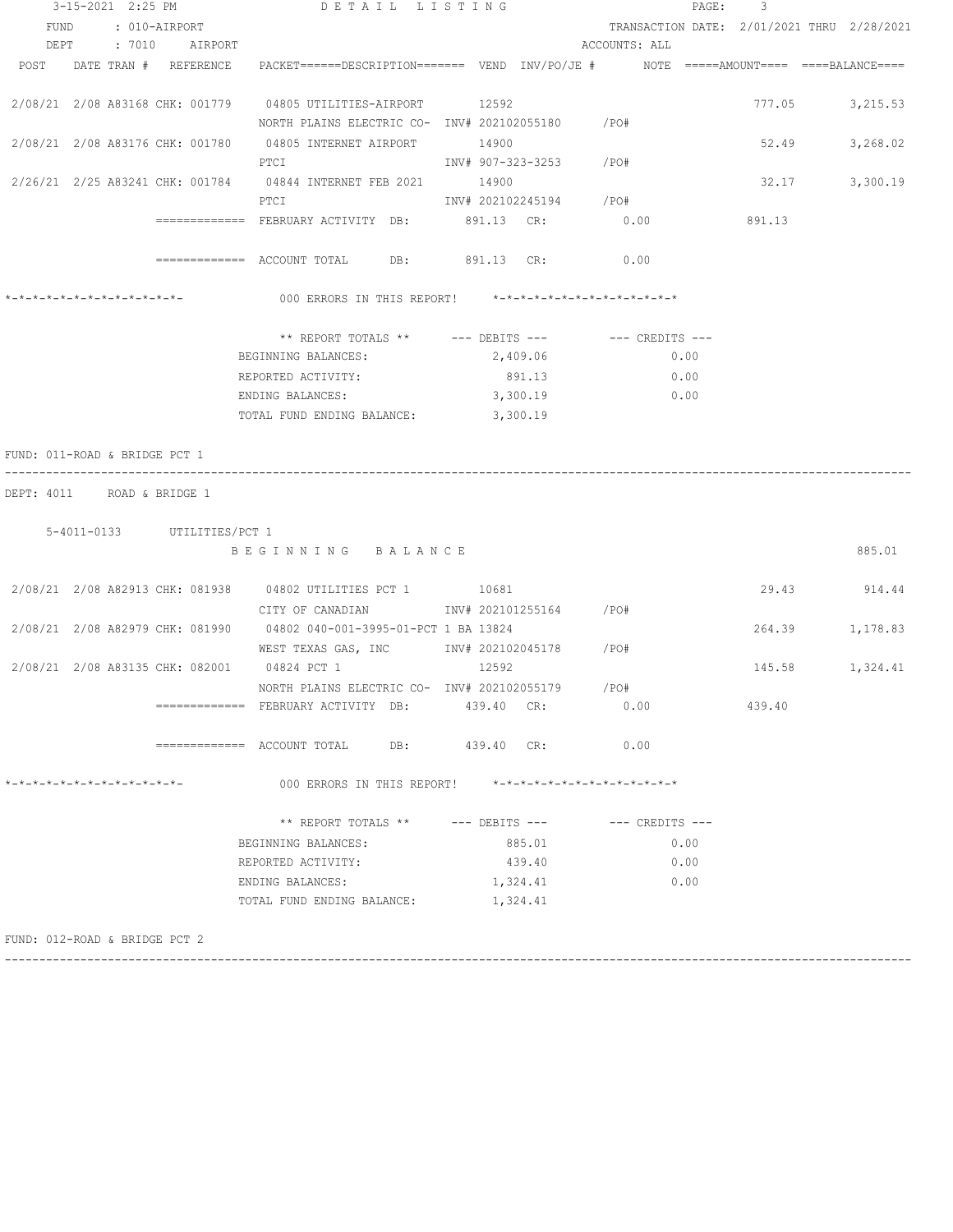| 3-15-2021 2:25 PM                                 |  |  |  |                                           | DETAIL LISTING                                                                                                  |                         |          | PAGE: 3                                                 |      |        |                                            |
|---------------------------------------------------|--|--|--|-------------------------------------------|-----------------------------------------------------------------------------------------------------------------|-------------------------|----------|---------------------------------------------------------|------|--------|--------------------------------------------|
|                                                   |  |  |  | FUND : 010-AIRPORT<br>DEPT : 7010 AIRPORT |                                                                                                                 |                         |          | ACCOUNTS: ALL                                           |      |        | TRANSACTION DATE: 2/01/2021 THRU 2/28/2021 |
|                                                   |  |  |  |                                           | POST DATE TRAN # REFERENCE PACKET======DESCRIPTION======= VEND INV/PO/JE # NOTE =====AMOUNT==== ===BALANCE====  |                         |          |                                                         |      |        |                                            |
|                                                   |  |  |  |                                           |                                                                                                                 |                         |          |                                                         |      |        |                                            |
|                                                   |  |  |  |                                           | 2/08/21 2/08 A83168 CHK: 001779 04805 UTILITIES-AIRPORT 12592                                                   |                         |          |                                                         |      | 777.05 | 3,215.53                                   |
|                                                   |  |  |  |                                           | NORTH PLAINS ELECTRIC CO- INV# 202102055180 / PO#                                                               |                         |          |                                                         |      |        |                                            |
|                                                   |  |  |  |                                           | 2/08/21 2/08 A83176 CHK: 001780 04805 INTERNET AIRPORT 14900                                                    |                         |          |                                                         |      | 52.49  | 3,268.02                                   |
|                                                   |  |  |  |                                           | PTCI                                                                                                            | INV# 907-323-3253 /PO#  |          |                                                         |      |        |                                            |
|                                                   |  |  |  |                                           | 2/26/21 2/25 A83241 CHK: 001784 04844 INTERNET FEB 2021 14900                                                   |                         |          |                                                         |      | 32.17  | 3,300.19                                   |
|                                                   |  |  |  |                                           | PTCI and the set of the set of the set of the set of the set of the set of the set of the set of the set of the | INV# 202102245194 / PO# |          |                                                         |      |        |                                            |
|                                                   |  |  |  |                                           | ============= FEBRUARY ACTIVITY DB: 891.13 CR: 0.00 0.00 891.13                                                 |                         |          |                                                         |      |        |                                            |
|                                                   |  |  |  |                                           | ============ ACCOUNT TOTAL DB: 891.13 CR: 0.00                                                                  |                         |          |                                                         |      |        |                                            |
|                                                   |  |  |  |                                           | 000 ERRORS IN THIS REPORT! *-*-*-*-*-*-*-*-*-*-*-*-*-*-                                                         |                         |          |                                                         |      |        |                                            |
|                                                   |  |  |  |                                           | ** REPORT TOTALS ** --- DEBITS --- -- CREDITS ---                                                               |                         |          |                                                         |      |        |                                            |
|                                                   |  |  |  |                                           | BEGINNING BALANCES:                                                                                             |                         | 2,409.06 |                                                         | 0.00 |        |                                            |
|                                                   |  |  |  |                                           | REPORTED ACTIVITY:                                                                                              |                         | 891.13   |                                                         | 0.00 |        |                                            |
|                                                   |  |  |  |                                           | ENDING BALANCES:                                                                                                |                         | 3,300.19 |                                                         | 0.00 |        |                                            |
|                                                   |  |  |  |                                           | TOTAL FUND ENDING BALANCE: 3,300.19                                                                             |                         |          |                                                         |      |        |                                            |
| DEPT: 4011 ROAD & BRIDGE 1                        |  |  |  | 5-4011-0133 UTILITIES/PCT 1               | BEGINNING BALANCE                                                                                               |                         |          |                                                         |      |        | 885.01                                     |
|                                                   |  |  |  |                                           |                                                                                                                 |                         |          |                                                         |      |        |                                            |
|                                                   |  |  |  |                                           | 2/08/21  2/08  A82913  CHK: 081938  04802  UTILITIES  PCT 1  10681                                              |                         |          |                                                         |      |        | 29.43 914.44                               |
|                                                   |  |  |  |                                           | CITY OF CANADIAN 1NV# 202101255164 /PO#                                                                         |                         |          |                                                         |      |        |                                            |
|                                                   |  |  |  |                                           | 2/08/21 2/08 A82979 CHK: 081990 04802 040-001-3995-01-PCT 1 BA 13824                                            |                         |          |                                                         |      | 264.39 | 1,178.83                                   |
|                                                   |  |  |  |                                           | WEST TEXAS GAS, INC MONTH 202102045178 / PO#<br>2/08/21 2/08 A83135 CHK: 082001 04824 PCT 1 12592               |                         |          |                                                         |      |        | 145.58 1,324.41                            |
|                                                   |  |  |  |                                           | NORTH PLAINS ELECTRIC CO- INV# 202102055179 / PO#                                                               |                         |          |                                                         |      |        |                                            |
|                                                   |  |  |  |                                           | =============   FEBRUARY  ACTIVITY   DB:                                                                        | 439.40 CR:              |          | 0.00                                                    |      | 439.40 |                                            |
|                                                   |  |  |  |                                           | =============    ACCOUNT  TOTAL<br>DB:                                                                          | 439.40 CR:              |          | 0.00                                                    |      |        |                                            |
| $* - * - * - * - * - * - * - * - * - * - * - * -$ |  |  |  |                                           | 000 ERRORS IN THIS REPORT!                                                                                      |                         |          | $* - * - * - * - * - * - * - * - * - * - * - * - * - *$ |      |        |                                            |
|                                                   |  |  |  |                                           | ** REPORT TOTALS **                                                                                             | --- DEBITS ---          |          | --- CREDITS ---                                         |      |        |                                            |
|                                                   |  |  |  |                                           | BEGINNING BALANCES:                                                                                             |                         | 885.01   |                                                         | 0.00 |        |                                            |
|                                                   |  |  |  |                                           | REPORTED ACTIVITY:                                                                                              |                         | 439.40   |                                                         | 0.00 |        |                                            |
|                                                   |  |  |  |                                           |                                                                                                                 |                         |          |                                                         |      |        |                                            |
|                                                   |  |  |  |                                           | ENDING BALANCES:                                                                                                |                         | 1,324.41 |                                                         | 0.00 |        |                                            |
|                                                   |  |  |  |                                           | TOTAL FUND ENDING BALANCE:                                                                                      |                         | 1,324.41 |                                                         |      |        |                                            |

------------------------------------------------------------------------------------------------------------------------------------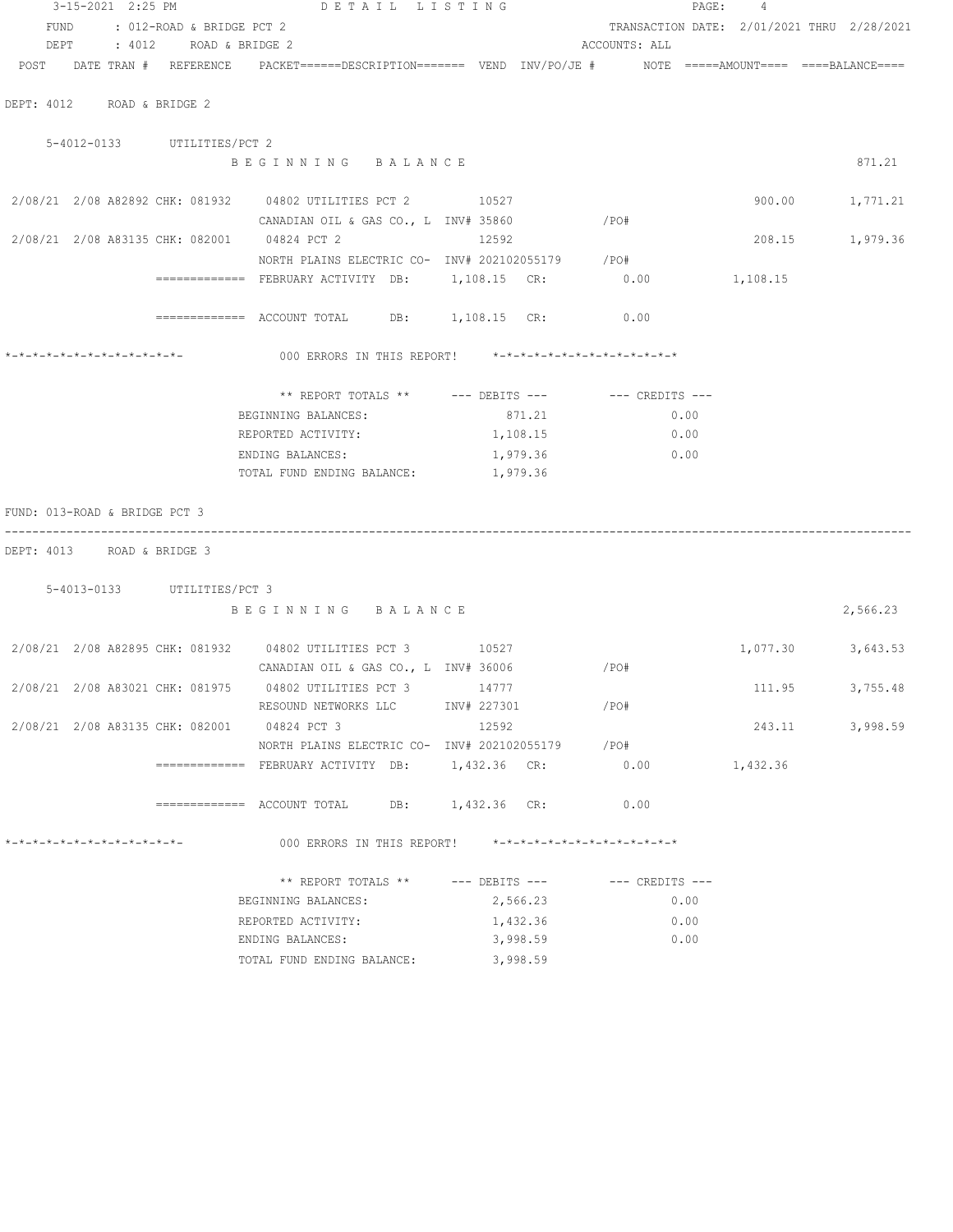|                               | 3-15-2021 2:25 PM |                                 | DETAIL LISTING                                                                             |                    |          |                               |      | PAGE: 4  |                                            |
|-------------------------------|-------------------|---------------------------------|--------------------------------------------------------------------------------------------|--------------------|----------|-------------------------------|------|----------|--------------------------------------------|
| FUND                          |                   | : 012-ROAD & BRIDGE PCT 2       |                                                                                            |                    |          |                               |      |          | TRANSACTION DATE: 2/01/2021 THRU 2/28/2021 |
|                               |                   | DEPT : 4012 ROAD & BRIDGE 2     |                                                                                            |                    |          | ACCOUNTS: ALL                 |      |          |                                            |
|                               |                   | POST DATE TRAN # REFERENCE      | PACKET======DESCRIPTION======== VEND INV/PO/JE #     NOTE =====AMOUNT====  ====BALANCE==== |                    |          |                               |      |          |                                            |
|                               |                   | DEPT: 4012 ROAD & BRIDGE 2      |                                                                                            |                    |          |                               |      |          |                                            |
|                               |                   | 5-4012-0133 UTILITIES/PCT 2     |                                                                                            |                    |          |                               |      |          |                                            |
|                               |                   |                                 | BEGINNING BALANCE                                                                          |                    |          |                               |      |          | 871.21                                     |
|                               |                   |                                 | 2/08/21 2/08 A82892 CHK: 081932 04802 UTILITIES PCT 2 10527                                |                    |          |                               |      | 900.00   | 1,771.21                                   |
|                               |                   |                                 | CANADIAN OIL & GAS CO., L INV# 35860                                                       |                    |          | $/$ PO#                       |      |          |                                            |
|                               |                   |                                 | 2/08/21 2/08 A83135 CHK: 082001 04824 PCT 2                                                | 12592              |          |                               |      |          | 208.15<br>1,979.36                         |
|                               |                   |                                 | NORTH PLAINS ELECTRIC CO- INV# 202102055179 / PO#                                          |                    |          |                               |      |          |                                            |
|                               |                   |                                 | ============= FEBRUARY ACTIVITY DB: 1,108.15 CR: 0.00 1,108.15                             |                    |          |                               |      |          |                                            |
|                               |                   |                                 | ============ ACCOUNT TOTAL DB: 1,108.15 CR: 0.00                                           |                    |          |                               |      |          |                                            |
|                               |                   | *_*_*_*_*_*_*_*_*_*_*_*_*_*_    | 000 ERRORS IN THIS REPORT! $*-*-*-*-*-*-*-*-*-*-*-*-*-*-**$                                |                    |          |                               |      |          |                                            |
|                               |                   |                                 | ** REPORT TOTALS ** --- DEBITS --- -- -- CREDITS ---                                       |                    |          |                               |      |          |                                            |
|                               |                   |                                 | BEGINNING BALANCES:                                                                        |                    | 871.21   |                               | 0.00 |          |                                            |
|                               |                   |                                 | REPORTED ACTIVITY:                                                                         |                    | 1,108.15 |                               | 0.00 |          |                                            |
|                               |                   |                                 | ENDING BALANCES:                                                                           |                    | 1,979.36 |                               | 0.00 |          |                                            |
|                               |                   |                                 | TOTAL FUND ENDING BALANCE:                                                                 |                    | 1,979.36 |                               |      |          |                                            |
| FUND: 013-ROAD & BRIDGE PCT 3 |                   |                                 |                                                                                            |                    |          |                               |      |          |                                            |
|                               | . <u>.</u> .      |                                 |                                                                                            |                    |          |                               |      |          |                                            |
|                               |                   | DEPT: 4013 ROAD & BRIDGE 3      |                                                                                            |                    |          |                               |      |          |                                            |
|                               |                   | 5-4013-0133 UTILITIES/PCT 3     |                                                                                            |                    |          |                               |      |          |                                            |
|                               |                   |                                 | BEGINNING BALANCE                                                                          |                    |          |                               |      |          | 2,566.23                                   |
|                               |                   |                                 | 2/08/21 2/08 A82895 CHK: 081932 04802 UTILITIES PCT 3 10527                                |                    |          |                               |      | 1,077.30 | 3,643.53                                   |
|                               |                   |                                 | CANADIAN OIL & GAS CO., L INV# 36006                                                       |                    |          | /PO#                          |      |          |                                            |
|                               |                   |                                 | 2/08/21 2/08 A83021 CHK: 081975 04802 UTILITIES PCT 3 14777                                |                    |          |                               |      | 111.95   | 3,755.48                                   |
|                               |                   |                                 | RESOUND NETWORKS LLC                                                                       | INV# 227301        |          | /PO#                          |      |          |                                            |
|                               |                   | 2/08/21 2/08 A83135 CHK: 082001 | 04824 PCT 3                                                                                | 12592              |          |                               |      | 243.11   | 3,998.59                                   |
|                               |                   |                                 | NORTH PLAINS ELECTRIC CO- INV# 202102055179 / PO#                                          |                    |          |                               |      |          |                                            |
|                               |                   |                                 |                                                                                            |                    |          | 0.00                          |      | 1,432.36 |                                            |
|                               |                   |                                 | ============= ACCOUNT TOTAL                                                                | DB: 1,432.36 CR:   |          | 0.00                          |      |          |                                            |
| *-*-*-*-*-*-*-*-*-*-*-*-*-*-  |                   |                                 | 000 ERRORS IN THIS REPORT!                                                                 |                    |          | *-*-*-*-*-*-*-*-*-*-*-*-*-*-* |      |          |                                            |
|                               |                   |                                 | ** REPORT TOTALS **                                                                        | $---$ DEBITS $---$ |          | $---$ CREDITS $---$           |      |          |                                            |
|                               |                   |                                 | BEGINNING BALANCES:                                                                        |                    | 2,566.23 |                               | 0.00 |          |                                            |
|                               |                   |                                 | REPORTED ACTIVITY:                                                                         |                    | 1,432.36 |                               | 0.00 |          |                                            |
|                               |                   |                                 | ENDING BALANCES:                                                                           |                    | 3,998.59 |                               | 0.00 |          |                                            |
|                               |                   |                                 |                                                                                            |                    |          |                               |      |          |                                            |

TOTAL FUND ENDING BALANCE: 3,998.59